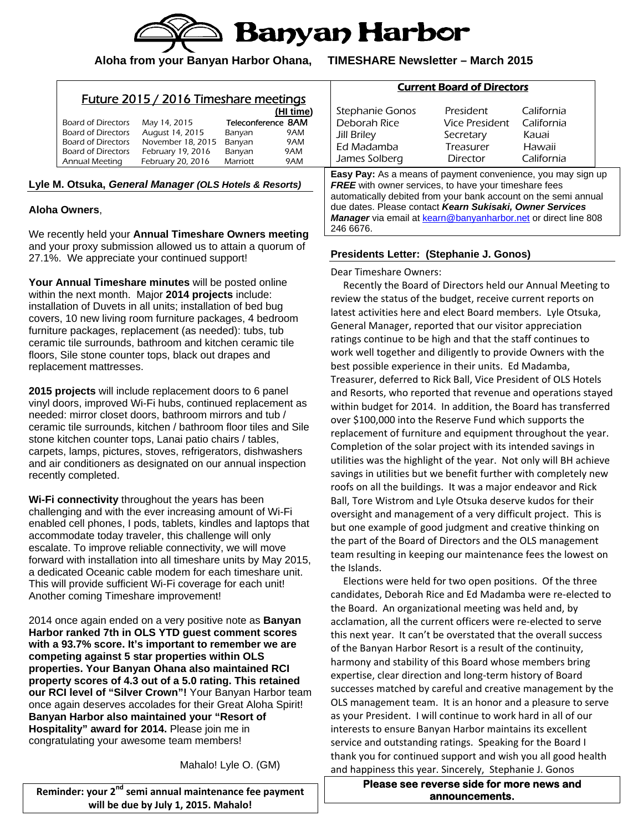

**Aloha from your Banyan Harbor Ohana, TIMESHARE Newsletter – March 2015** 

| Teleconference 8AM<br>May 14, 2015<br>August 14, 2015<br><b>Board of Directors</b><br>9AM<br>Banyan<br>November 18, 2015<br>Board of Directors<br>9AM<br>Banyan | Deborah Rice<br>Jill Briley<br>Ed Madamba | Vice President<br>Secretary<br>Treasurer | California<br>Kauai<br>Hawaii |
|-----------------------------------------------------------------------------------------------------------------------------------------------------------------|-------------------------------------------|------------------------------------------|-------------------------------|
| <b>Board of Directors</b><br>February 19, 2016<br>9AM<br>Banyan<br>February 20, 2016<br>9AM<br>Annual Meeting<br>Marriott                                       | James Solberg                             | Director                                 | California                    |

246 6676.

## **Aloha Owners**,

We recently held your **Annual Timeshare Owners meeting** and your proxy submission allowed us to attain a quorum of 27.1%. We appreciate your continued support!

**Your Annual Timeshare minutes** will be posted online within the next month. Major **2014 projects** include: installation of Duvets in all units; installation of bed bug covers, 10 new living room furniture packages, 4 bedroom furniture packages, replacement (as needed): tubs, tub ceramic tile surrounds, bathroom and kitchen ceramic tile floors, Sile stone counter tops, black out drapes and replacement mattresses.

**2015 projects** will include replacement doors to 6 panel vinyl doors, improved Wi-Fi hubs, continued replacement as needed: mirror closet doors, bathroom mirrors and tub / ceramic tile surrounds, kitchen / bathroom floor tiles and Sile stone kitchen counter tops, Lanai patio chairs / tables, carpets, lamps, pictures, stoves, refrigerators, dishwashers and air conditioners as designated on our annual inspection recently completed.

**Wi-Fi connectivity** throughout the years has been challenging and with the ever increasing amount of Wi-Fi enabled cell phones, I pods, tablets, kindles and laptops that accommodate today traveler, this challenge will only escalate. To improve reliable connectivity, we will move forward with installation into all timeshare units by May 2015, a dedicated Oceanic cable modem for each timeshare unit. This will provide sufficient Wi-Fi coverage for each unit! Another coming Timeshare improvement!

2014 once again ended on a very positive note as **Banyan Harbor ranked 7th in OLS YTD guest comment scores with a 93.7% score. It's important to remember we are competing against 5 star properties within OLS properties. Your Banyan Ohana also maintained RCI property scores of 4.3 out of a 5.0 rating. This retained our RCI level of "Silver Crown"!** Your Banyan Harbor team once again deserves accolades for their Great Aloha Spirit! **Banyan Harbor also maintained your "Resort of Hospitality" award for 2014.** Please join me in congratulating your awesome team members!

Mahalo! Lyle O. (GM)

**Reminder: your 2nd semi annual maintenance fee payment will be due by July 1, 2015. Mahalo!**

**Presidents Letter: (Stephanie J. Gonos)** 

Manager via email at kearn@banyanharbor.net or direct line 808

Dear Timeshare Owners:

 Recently the Board of Directors held our Annual Meeting to review the status of the budget, receive current reports on latest activities here and elect Board members. Lyle Otsuka, General Manager, reported that our visitor appreciation ratings continue to be high and that the staff continues to work well together and diligently to provide Owners with the best possible experience in their units. Ed Madamba, Treasurer, deferred to Rick Ball, Vice President of OLS Hotels and Resorts, who reported that revenue and operations stayed within budget for 2014. In addition, the Board has transferred over \$100,000 into the Reserve Fund which supports the replacement of furniture and equipment throughout the year. Completion of the solar project with its intended savings in utilities was the highlight of the year. Not only will BH achieve savings in utilities but we benefit further with completely new roofs on all the buildings. It was a major endeavor and Rick Ball, Tore Wistrom and Lyle Otsuka deserve kudos for their oversight and management of a very difficult project. This is but one example of good judgment and creative thinking on the part of the Board of Directors and the OLS management team resulting in keeping our maintenance fees the lowest on the Islands.

 Elections were held for two open positions. Of the three candidates, Deborah Rice and Ed Madamba were re‐elected to the Board. An organizational meeting was held and, by acclamation, all the current officers were re‐elected to serve this next year. It can't be overstated that the overall success of the Banyan Harbor Resort is a result of the continuity, harmony and stability of this Board whose members bring expertise, clear direction and long‐term history of Board successes matched by careful and creative management by the OLS management team. It is an honor and a pleasure to serve as your President. I will continue to work hard in all of our interests to ensure Banyan Harbor maintains its excellent service and outstanding ratings. Speaking for the Board I thank you for continued support and wish you all good health and happiness this year. Sincerely, Stephanie J. Gonos

> **Please see reverse side for more news and announcements.**